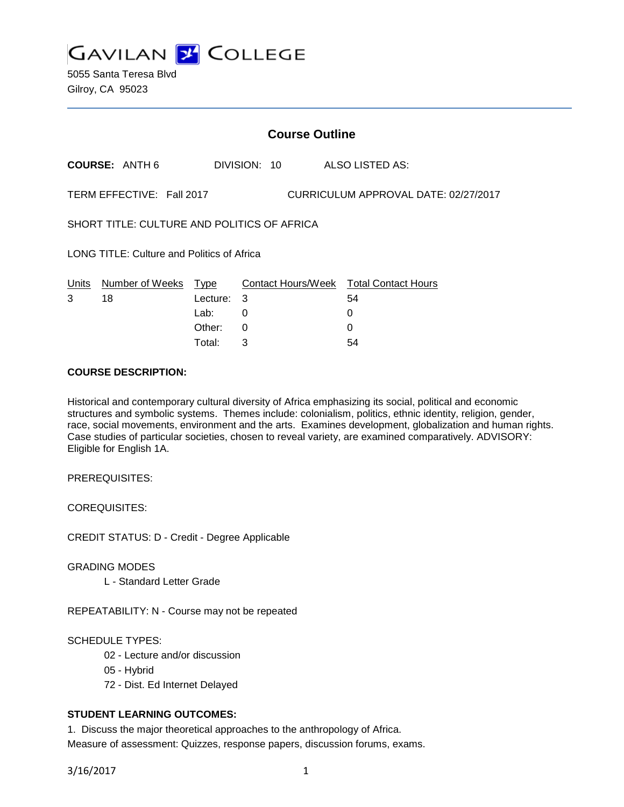

5055 Santa Teresa Blvd Gilroy, CA 95023

| <b>Course Outline</b>                                             |                       |          |    |              |  |                                        |
|-------------------------------------------------------------------|-----------------------|----------|----|--------------|--|----------------------------------------|
|                                                                   | <b>COURSE: ANTH 6</b> |          |    | DIVISION: 10 |  | ALSO LISTED AS:                        |
| TERM EFFECTIVE: Fall 2017<br>CURRICULUM APPROVAL DATE: 02/27/2017 |                       |          |    |              |  |                                        |
| SHORT TITLE: CULTURE AND POLITICS OF AFRICA                       |                       |          |    |              |  |                                        |
| LONG TITLE: Culture and Politics of Africa                        |                       |          |    |              |  |                                        |
| Units                                                             | Number of Weeks Type  |          |    |              |  | Contact Hours/Week Total Contact Hours |
| 3                                                                 | 18                    | Lecture: | -3 |              |  | 54                                     |
|                                                                   |                       | Lab:     | 0  |              |  | 0                                      |
|                                                                   |                       | Other:   | 0  |              |  | $\Omega$                               |
|                                                                   |                       | Total:   | 3  |              |  | 54                                     |

## **COURSE DESCRIPTION:**

Historical and contemporary cultural diversity of Africa emphasizing its social, political and economic structures and symbolic systems. Themes include: colonialism, politics, ethnic identity, religion, gender, race, social movements, environment and the arts. Examines development, globalization and human rights. Case studies of particular societies, chosen to reveal variety, are examined comparatively. ADVISORY: Eligible for English 1A.

PREREQUISITES:

COREQUISITES:

CREDIT STATUS: D - Credit - Degree Applicable

GRADING MODES

L - Standard Letter Grade

REPEATABILITY: N - Course may not be repeated

SCHEDULE TYPES:

- 02 Lecture and/or discussion
- 05 Hybrid
- 72 Dist. Ed Internet Delayed

# **STUDENT LEARNING OUTCOMES:**

1. Discuss the major theoretical approaches to the anthropology of Africa. Measure of assessment: Quizzes, response papers, discussion forums, exams.

3/16/2017 1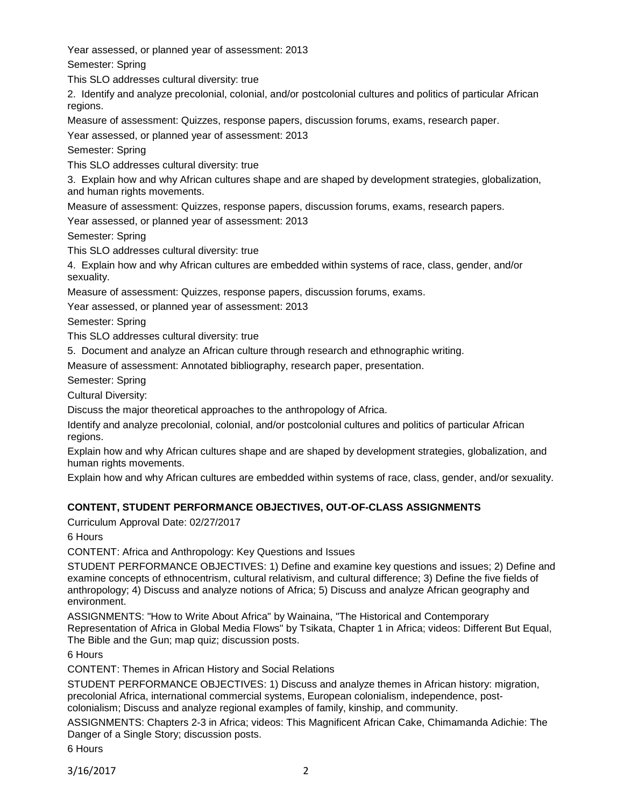Year assessed, or planned year of assessment: 2013

Semester: Spring

This SLO addresses cultural diversity: true

2. Identify and analyze precolonial, colonial, and/or postcolonial cultures and politics of particular African regions.

Measure of assessment: Quizzes, response papers, discussion forums, exams, research paper.

Year assessed, or planned year of assessment: 2013

Semester: Spring

This SLO addresses cultural diversity: true

3. Explain how and why African cultures shape and are shaped by development strategies, globalization, and human rights movements.

Measure of assessment: Quizzes, response papers, discussion forums, exams, research papers.

Year assessed, or planned year of assessment: 2013

Semester: Spring

This SLO addresses cultural diversity: true

4. Explain how and why African cultures are embedded within systems of race, class, gender, and/or sexuality.

Measure of assessment: Quizzes, response papers, discussion forums, exams.

Year assessed, or planned year of assessment: 2013

Semester: Spring

This SLO addresses cultural diversity: true

5. Document and analyze an African culture through research and ethnographic writing.

Measure of assessment: Annotated bibliography, research paper, presentation.

Semester: Spring

Cultural Diversity:

Discuss the major theoretical approaches to the anthropology of Africa.

Identify and analyze precolonial, colonial, and/or postcolonial cultures and politics of particular African regions.

Explain how and why African cultures shape and are shaped by development strategies, globalization, and human rights movements.

Explain how and why African cultures are embedded within systems of race, class, gender, and/or sexuality.

# **CONTENT, STUDENT PERFORMANCE OBJECTIVES, OUT-OF-CLASS ASSIGNMENTS**

Curriculum Approval Date: 02/27/2017

6 Hours

CONTENT: Africa and Anthropology: Key Questions and Issues

STUDENT PERFORMANCE OBJECTIVES: 1) Define and examine key questions and issues; 2) Define and examine concepts of ethnocentrism, cultural relativism, and cultural difference; 3) Define the five fields of anthropology; 4) Discuss and analyze notions of Africa; 5) Discuss and analyze African geography and environment.

ASSIGNMENTS: "How to Write About Africa" by Wainaina, "The Historical and Contemporary Representation of Africa in Global Media Flows" by Tsikata, Chapter 1 in Africa; videos: Different But Equal, The Bible and the Gun; map quiz; discussion posts.

6 Hours

CONTENT: Themes in African History and Social Relations

STUDENT PERFORMANCE OBJECTIVES: 1) Discuss and analyze themes in African history: migration, precolonial Africa, international commercial systems, European colonialism, independence, postcolonialism; Discuss and analyze regional examples of family, kinship, and community.

ASSIGNMENTS: Chapters 2-3 in Africa; videos: This Magnificent African Cake, Chimamanda Adichie: The Danger of a Single Story; discussion posts.

6 Hours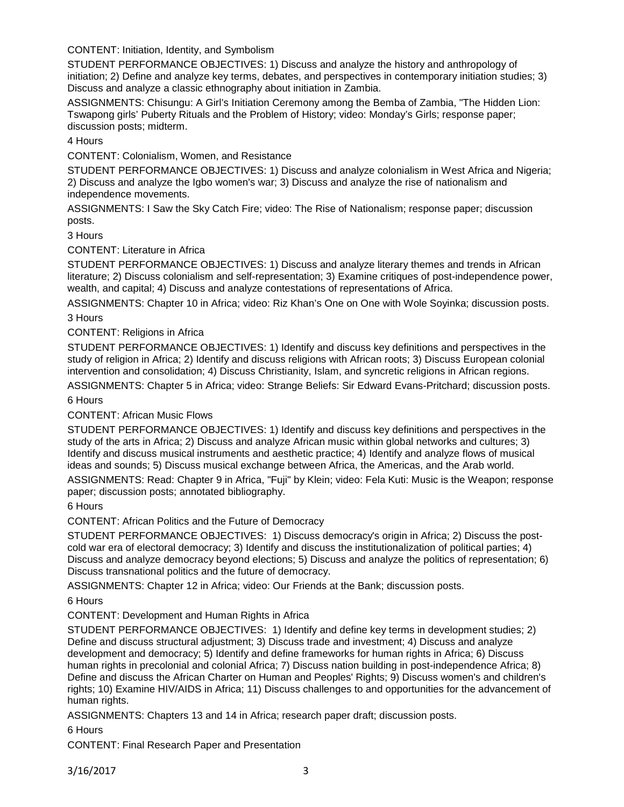CONTENT: Initiation, Identity, and Symbolism

STUDENT PERFORMANCE OBJECTIVES: 1) Discuss and analyze the history and anthropology of initiation; 2) Define and analyze key terms, debates, and perspectives in contemporary initiation studies; 3) Discuss and analyze a classic ethnography about initiation in Zambia.

ASSIGNMENTS: Chisungu: A Girl's Initiation Ceremony among the Bemba of Zambia, "The Hidden Lion: Tswapong girls' Puberty Rituals and the Problem of History; video: Monday's Girls; response paper; discussion posts; midterm.

4 Hours

CONTENT: Colonialism, Women, and Resistance

STUDENT PERFORMANCE OBJECTIVES: 1) Discuss and analyze colonialism in West Africa and Nigeria; 2) Discuss and analyze the Igbo women's war; 3) Discuss and analyze the rise of nationalism and independence movements.

ASSIGNMENTS: I Saw the Sky Catch Fire; video: The Rise of Nationalism; response paper; discussion posts.

3 Hours

CONTENT: Literature in Africa

STUDENT PERFORMANCE OBJECTIVES: 1) Discuss and analyze literary themes and trends in African literature; 2) Discuss colonialism and self-representation; 3) Examine critiques of post-independence power, wealth, and capital; 4) Discuss and analyze contestations of representations of Africa.

ASSIGNMENTS: Chapter 10 in Africa; video: Riz Khan's One on One with Wole Soyinka; discussion posts. 3 Hours

# CONTENT: Religions in Africa

STUDENT PERFORMANCE OBJECTIVES: 1) Identify and discuss key definitions and perspectives in the study of religion in Africa; 2) Identify and discuss religions with African roots; 3) Discuss European colonial intervention and consolidation; 4) Discuss Christianity, Islam, and syncretic religions in African regions.

ASSIGNMENTS: Chapter 5 in Africa; video: Strange Beliefs: Sir Edward Evans-Pritchard; discussion posts. 6 Hours

CONTENT: African Music Flows

STUDENT PERFORMANCE OBJECTIVES: 1) Identify and discuss key definitions and perspectives in the study of the arts in Africa; 2) Discuss and analyze African music within global networks and cultures; 3) Identify and discuss musical instruments and aesthetic practice; 4) Identify and analyze flows of musical ideas and sounds; 5) Discuss musical exchange between Africa, the Americas, and the Arab world.

ASSIGNMENTS: Read: Chapter 9 in Africa, "Fuji" by Klein; video: Fela Kuti: Music is the Weapon; response paper; discussion posts; annotated bibliography.

6 Hours

CONTENT: African Politics and the Future of Democracy

STUDENT PERFORMANCE OBJECTIVES: 1) Discuss democracy's origin in Africa; 2) Discuss the postcold war era of electoral democracy; 3) Identify and discuss the institutionalization of political parties; 4) Discuss and analyze democracy beyond elections; 5) Discuss and analyze the politics of representation; 6) Discuss transnational politics and the future of democracy.

ASSIGNMENTS: Chapter 12 in Africa; video: Our Friends at the Bank; discussion posts.

6 Hours

CONTENT: Development and Human Rights in Africa

STUDENT PERFORMANCE OBJECTIVES: 1) Identify and define key terms in development studies; 2) Define and discuss structural adjustment; 3) Discuss trade and investment; 4) Discuss and analyze development and democracy; 5) Identify and define frameworks for human rights in Africa; 6) Discuss human rights in precolonial and colonial Africa; 7) Discuss nation building in post-independence Africa; 8) Define and discuss the African Charter on Human and Peoples' Rights; 9) Discuss women's and children's rights; 10) Examine HIV/AIDS in Africa; 11) Discuss challenges to and opportunities for the advancement of human rights.

ASSIGNMENTS: Chapters 13 and 14 in Africa; research paper draft; discussion posts.

6 Hours

CONTENT: Final Research Paper and Presentation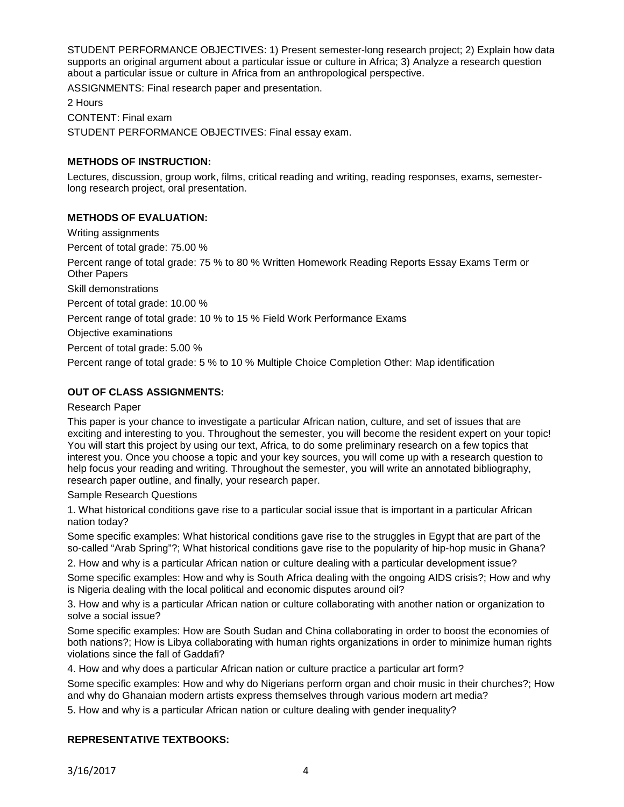STUDENT PERFORMANCE OBJECTIVES: 1) Present semester-long research project; 2) Explain how data supports an original argument about a particular issue or culture in Africa; 3) Analyze a research question about a particular issue or culture in Africa from an anthropological perspective.

ASSIGNMENTS: Final research paper and presentation.

2 Hours CONTENT: Final exam STUDENT PERFORMANCE OBJECTIVES: Final essay exam.

# **METHODS OF INSTRUCTION:**

Lectures, discussion, group work, films, critical reading and writing, reading responses, exams, semesterlong research project, oral presentation.

## **METHODS OF EVALUATION:**

Writing assignments

Percent of total grade: 75.00 %

Percent range of total grade: 75 % to 80 % Written Homework Reading Reports Essay Exams Term or Other Papers

Skill demonstrations

Percent of total grade: 10.00 %

Percent range of total grade: 10 % to 15 % Field Work Performance Exams

Objective examinations

Percent of total grade: 5.00 %

Percent range of total grade: 5 % to 10 % Multiple Choice Completion Other: Map identification

## **OUT OF CLASS ASSIGNMENTS:**

#### Research Paper

This paper is your chance to investigate a particular African nation, culture, and set of issues that are exciting and interesting to you. Throughout the semester, you will become the resident expert on your topic! You will start this project by using our text, Africa, to do some preliminary research on a few topics that interest you. Once you choose a topic and your key sources, you will come up with a research question to help focus your reading and writing. Throughout the semester, you will write an annotated bibliography, research paper outline, and finally, your research paper.

#### Sample Research Questions

1. What historical conditions gave rise to a particular social issue that is important in a particular African nation today?

Some specific examples: What historical conditions gave rise to the struggles in Egypt that are part of the so-called "Arab Spring"?; What historical conditions gave rise to the popularity of hip-hop music in Ghana?

2. How and why is a particular African nation or culture dealing with a particular development issue?

Some specific examples: How and why is South Africa dealing with the ongoing AIDS crisis?; How and why is Nigeria dealing with the local political and economic disputes around oil?

3. How and why is a particular African nation or culture collaborating with another nation or organization to solve a social issue?

Some specific examples: How are South Sudan and China collaborating in order to boost the economies of both nations?; How is Libya collaborating with human rights organizations in order to minimize human rights violations since the fall of Gaddafi?

4. How and why does a particular African nation or culture practice a particular art form?

Some specific examples: How and why do Nigerians perform organ and choir music in their churches?; How and why do Ghanaian modern artists express themselves through various modern art media?

5. How and why is a particular African nation or culture dealing with gender inequality?

## **REPRESENTATIVE TEXTBOOKS:**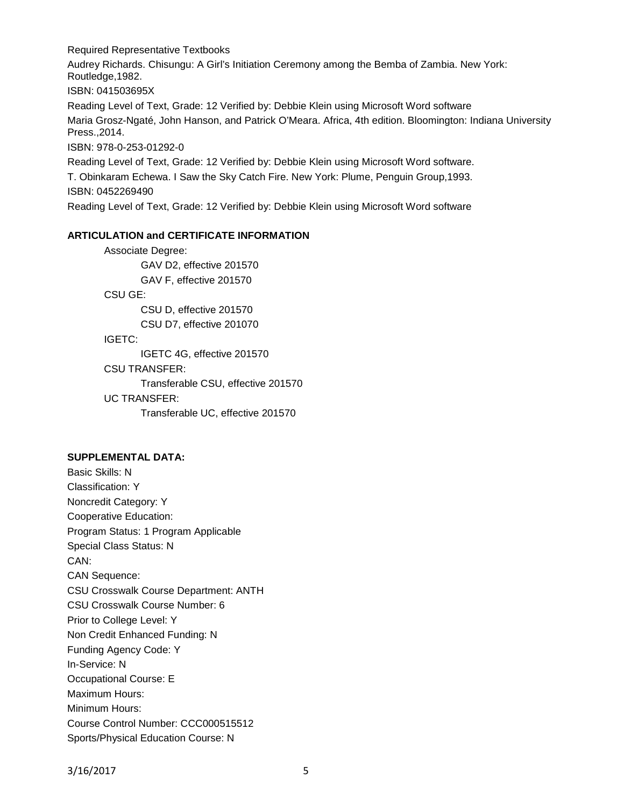Required Representative Textbooks Audrey Richards. Chisungu: A Girl's Initiation Ceremony among the Bemba of Zambia. New York: Routledge,1982. ISBN: 041503695X Reading Level of Text, Grade: 12 Verified by: Debbie Klein using Microsoft Word software Maria Grosz-Ngaté, John Hanson, and Patrick O'Meara. Africa, 4th edition. Bloomington: Indiana University Press.,2014. ISBN: 978-0-253-01292-0 Reading Level of Text, Grade: 12 Verified by: Debbie Klein using Microsoft Word software. T. Obinkaram Echewa. I Saw the Sky Catch Fire. New York: Plume, Penguin Group,1993. ISBN: 0452269490

Reading Level of Text, Grade: 12 Verified by: Debbie Klein using Microsoft Word software

## **ARTICULATION and CERTIFICATE INFORMATION**

Associate Degree: GAV D2, effective 201570 GAV F, effective 201570 CSU GE: CSU D, effective 201570 CSU D7, effective 201070 IGETC: IGETC 4G, effective 201570 CSU TRANSFER: Transferable CSU, effective 201570 UC TRANSFER:

Transferable UC, effective 201570

#### **SUPPLEMENTAL DATA:**

Basic Skills: N Classification: Y Noncredit Category: Y Cooperative Education: Program Status: 1 Program Applicable Special Class Status: N CAN: CAN Sequence: CSU Crosswalk Course Department: ANTH CSU Crosswalk Course Number: 6 Prior to College Level: Y Non Credit Enhanced Funding: N Funding Agency Code: Y In-Service: N Occupational Course: E Maximum Hours: Minimum Hours: Course Control Number: CCC000515512 Sports/Physical Education Course: N

3/16/2017 5